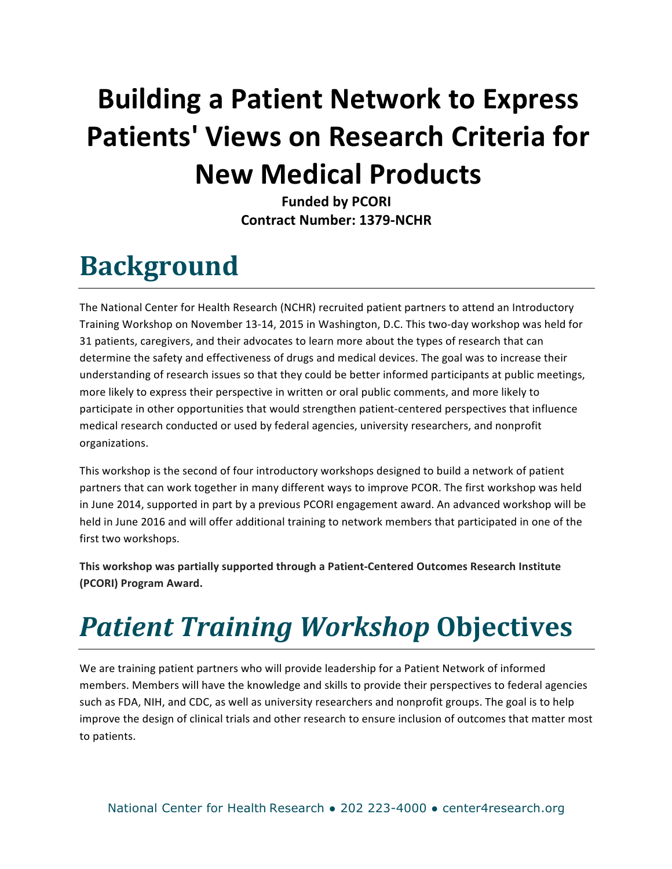# **Building a Patient Network to Express Patients' Views on Research Criteria for New Medical Products**

**Funded by PCORI Contract Number: 1379-NCHR**

## **Background**

The National Center for Health Research (NCHR) recruited patient partners to attend an Introductory Training Workshop on November 13-14, 2015 in Washington, D.C. This two-day workshop was held for 31 patients, caregivers, and their advocates to learn more about the types of research that can determine the safety and effectiveness of drugs and medical devices. The goal was to increase their understanding of research issues so that they could be better informed participants at public meetings, more likely to express their perspective in written or oral public comments, and more likely to participate in other opportunities that would strengthen patient-centered perspectives that influence medical research conducted or used by federal agencies, university researchers, and nonprofit organizations. 

This workshop is the second of four introductory workshops designed to build a network of patient partners that can work together in many different ways to improve PCOR. The first workshop was held in June 2014, supported in part by a previous PCORI engagement award. An advanced workshop will be held in June 2016 and will offer additional training to network members that participated in one of the first two workshops.

This workshop was partially supported through a Patient-Centered Outcomes Research Institute **(PCORI) Program Award.**

# *Patient Training Workshop* **Objectives**

We are training patient partners who will provide leadership for a Patient Network of informed members. Members will have the knowledge and skills to provide their perspectives to federal agencies such as FDA, NIH, and CDC, as well as university researchers and nonprofit groups. The goal is to help improve the design of clinical trials and other research to ensure inclusion of outcomes that matter most to patients.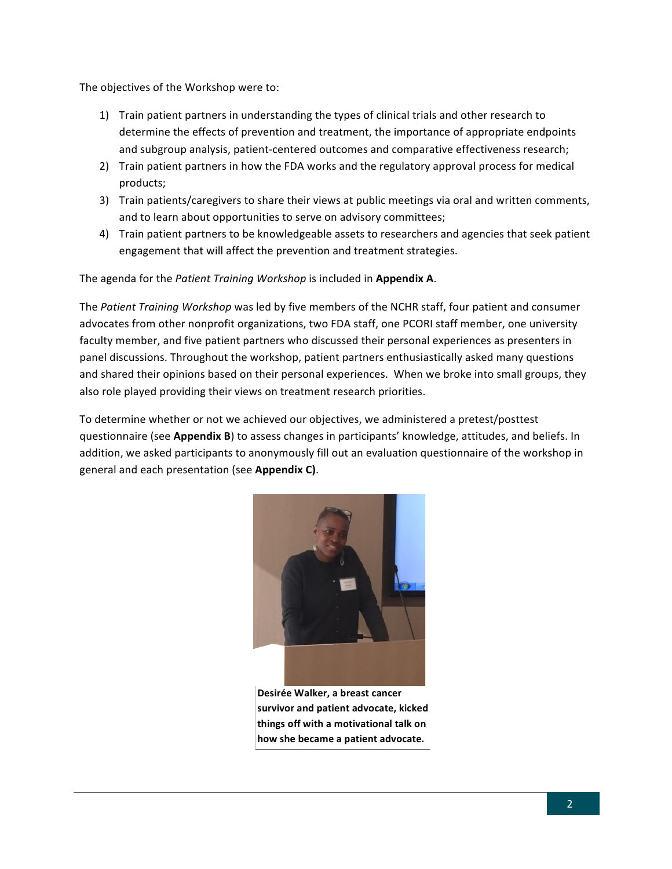The objectives of the Workshop were to:

- 1) Train patient partners in understanding the types of clinical trials and other research to determine the effects of prevention and treatment, the importance of appropriate endpoints and subgroup analysis, patient-centered outcomes and comparative effectiveness research;
- 2) Train patient partners in how the FDA works and the regulatory approval process for medical products;
- 3) Train patients/caregivers to share their views at public meetings via oral and written comments, and to learn about opportunities to serve on advisory committees;
- 4) Train patient partners to be knowledgeable assets to researchers and agencies that seek patient engagement that will affect the prevention and treatment strategies.

The agenda for the *Patient Training Workshop* is included in **Appendix A**.

The Patient Training Workshop was led by five members of the NCHR staff, four patient and consumer advocates from other nonprofit organizations, two FDA staff, one PCORI staff member, one university faculty member, and five patient partners who discussed their personal experiences as presenters in panel discussions. Throughout the workshop, patient partners enthusiastically asked many questions and shared their opinions based on their personal experiences. When we broke into small groups, they also role played providing their views on treatment research priorities.

To determine whether or not we achieved our objectives, we administered a pretest/posttest questionnaire (see **Appendix B**) to assess changes in participants' knowledge, attitudes, and beliefs. In addition, we asked participants to anonymously fill out an evaluation questionnaire of the workshop in general and each presentation (see Appendix C).



**Desirée Walker, a breast cancer**  survivor and patient advocate, kicked **things off with a motivational talk on**  how she became a patient advocate.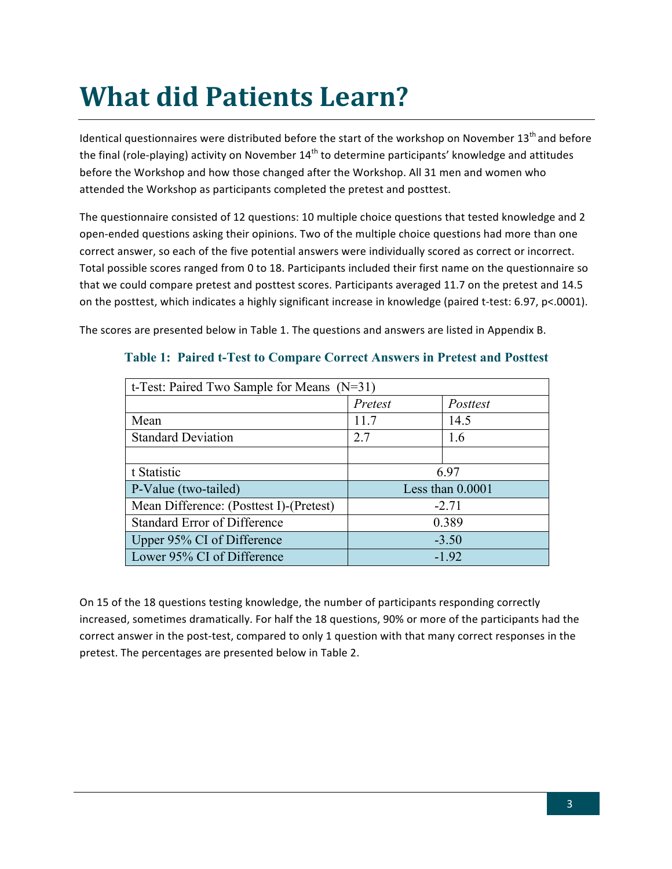## **What did Patients Learn?**

Identical questionnaires were distributed before the start of the workshop on November  $13<sup>th</sup>$  and before the final (role-playing) activity on November  $14<sup>th</sup>$  to determine participants' knowledge and attitudes before the Workshop and how those changed after the Workshop. All 31 men and women who attended the Workshop as participants completed the pretest and posttest.

The questionnaire consisted of 12 questions: 10 multiple choice questions that tested knowledge and 2 open-ended questions asking their opinions. Two of the multiple choice questions had more than one correct answer, so each of the five potential answers were individually scored as correct or incorrect. Total possible scores ranged from 0 to 18. Participants included their first name on the questionnaire so that we could compare pretest and posttest scores. Participants averaged 11.7 on the pretest and 14.5 on the posttest, which indicates a highly significant increase in knowledge (paired t-test: 6.97, p<.0001).

The scores are presented below in Table 1. The questions and answers are listed in Appendix B.

| t-Test: Paired Two Sample for Means (N=31) |                    |          |  |  |
|--------------------------------------------|--------------------|----------|--|--|
|                                            | Pretest            | Posttest |  |  |
| Mean                                       | 11.7               | 14.5     |  |  |
| <b>Standard Deviation</b>                  | 2.7                | 1.6      |  |  |
|                                            |                    |          |  |  |
| t Statistic                                | 6.97               |          |  |  |
| P-Value (two-tailed)                       | Less than $0.0001$ |          |  |  |
| Mean Difference: (Posttest I)-(Pretest)    | $-2.71$            |          |  |  |
| <b>Standard Error of Difference</b>        | 0.389              |          |  |  |
| Upper 95% CI of Difference                 | $-3.50$            |          |  |  |
| Lower 95% CI of Difference                 | $-1.92$            |          |  |  |

#### **Table 1: Paired t-Test to Compare Correct Answers in Pretest and Posttest**

On 15 of the 18 questions testing knowledge, the number of participants responding correctly increased, sometimes dramatically. For half the 18 questions, 90% or more of the participants had the correct answer in the post-test, compared to only 1 question with that many correct responses in the pretest. The percentages are presented below in Table 2.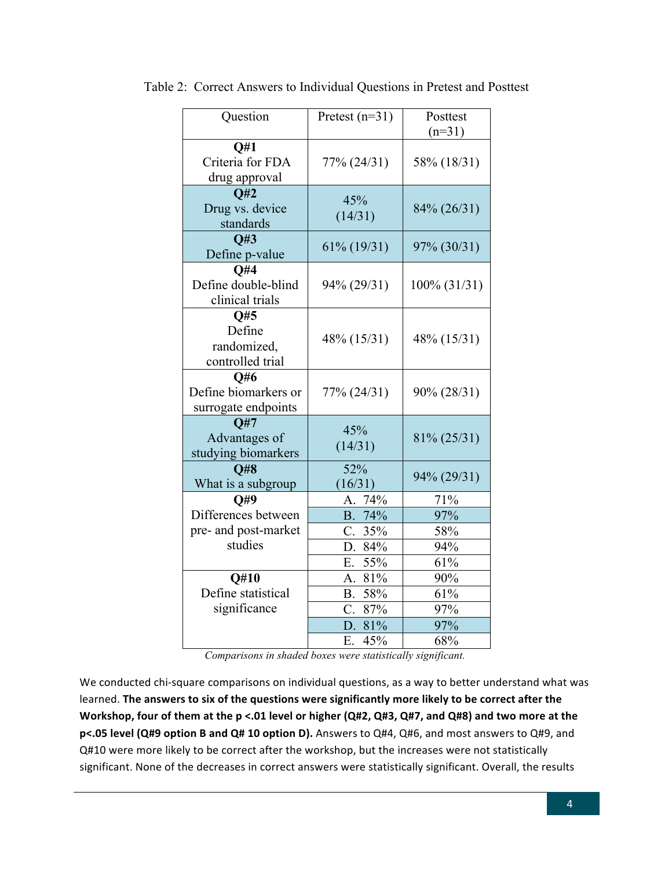| Question                                             | Pretest $(n=31)$      | Posttest<br>$(n=31)$ |  |
|------------------------------------------------------|-----------------------|----------------------|--|
| Q#1<br>Criteria for FDA<br>drug approval             | 77% (24/31)           | 58% (18/31)          |  |
| O#2<br>Drug vs. device<br>standards                  | 45%<br>(14/31)        | 84% (26/31)          |  |
| <b>O#3</b><br>Define p-value                         | $61\% (19/31)$        | 97% (30/31)          |  |
| <b>O#4</b><br>Define double-blind<br>clinical trials | 94% (29/31)           | $100\% (31/31)$      |  |
| O#5<br>Define<br>randomized,<br>controlled trial     | 48\% (15\; 31)        | 48\% (15\; 31)       |  |
| O#6<br>Define biomarkers or<br>surrogate endpoints   | 77% (24/31)           | 90% (28/31)          |  |
| <b>O#7</b><br>Advantages of<br>studying biomarkers   | 45%<br>(14/31)        | 81% (25/31)          |  |
| Q#8<br>What is a subgroup                            | 52%<br>(16/31)        | 94% (29/31)          |  |
| Q#9                                                  | A. 74%                | 71%                  |  |
| Differences between                                  | 74%<br>B <sub>1</sub> | 97%                  |  |
| pre- and post-market                                 | 35%<br>$C_{\cdot}$    | 58%                  |  |
| studies                                              | D. 84%                | 94%                  |  |
|                                                      | E. $55\%$             | 61%                  |  |
| <b>Q#10</b>                                          | A. 81%                | 90%                  |  |
| Define statistical                                   | B. 58%                | 61%                  |  |
| significance                                         | C. 87%                | 97%                  |  |
|                                                      | D. 81%                | 97%                  |  |
|                                                      | Ε.<br>45%             | 68%                  |  |

Table 2: Correct Answers to Individual Questions in Pretest and Posttest

*Comparisons in shaded boxes were statistically significant.*

We conducted chi-square comparisons on individual questions, as a way to better understand what was learned. The answers to six of the questions were significantly more likely to be correct after the **Workshop, four of them at the p <.01 level or higher (Q#2, Q#3, Q#7, and Q#8) and two more at the p<.05 level (Q#9 option B and Q# 10 option D).** Answers to Q#4, Q#6, and most answers to Q#9, and Q#10 were more likely to be correct after the workshop, but the increases were not statistically significant. None of the decreases in correct answers were statistically significant. Overall, the results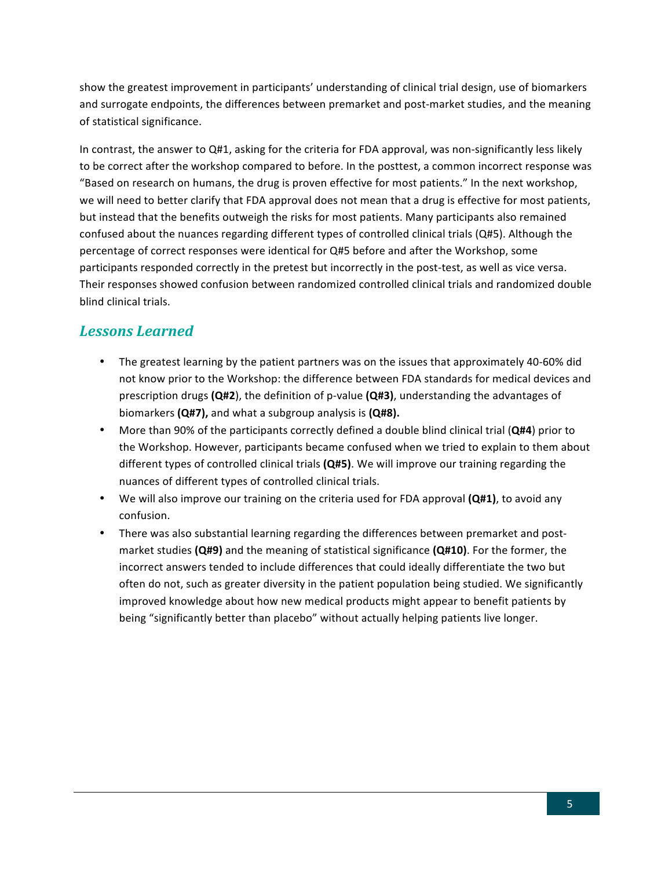show the greatest improvement in participants' understanding of clinical trial design, use of biomarkers and surrogate endpoints, the differences between premarket and post-market studies, and the meaning of statistical significance.

In contrast, the answer to Q#1, asking for the criteria for FDA approval, was non-significantly less likely to be correct after the workshop compared to before. In the posttest, a common incorrect response was "Based on research on humans, the drug is proven effective for most patients." In the next workshop, we will need to better clarify that FDA approval does not mean that a drug is effective for most patients, but instead that the benefits outweigh the risks for most patients. Many participants also remained confused about the nuances regarding different types of controlled clinical trials (Q#5). Although the percentage of correct responses were identical for Q#5 before and after the Workshop, some participants responded correctly in the pretest but incorrectly in the post-test, as well as vice versa. Their responses showed confusion between randomized controlled clinical trials and randomized double blind clinical trials.

### *Lessons Learned*

- The greatest learning by the patient partners was on the issues that approximately 40-60% did not know prior to the Workshop: the difference between FDA standards for medical devices and prescription drugs (Q#2), the definition of p-value (Q#3), understanding the advantages of biomarkers (Q#7), and what a subgroup analysis is (Q#8).
- More than 90% of the participants correctly defined a double blind clinical trial (Q#4) prior to the Workshop. However, participants became confused when we tried to explain to them about different types of controlled clinical trials (Q#5). We will improve our training regarding the nuances of different types of controlled clinical trials.
- We will also improve our training on the criteria used for FDA approval (Q#1), to avoid any confusion.
- There was also substantial learning regarding the differences between premarket and postmarket studies (Q#9) and the meaning of statistical significance (Q#10). For the former, the incorrect answers tended to include differences that could ideally differentiate the two but often do not, such as greater diversity in the patient population being studied. We significantly improved knowledge about how new medical products might appear to benefit patients by being "significantly better than placebo" without actually helping patients live longer.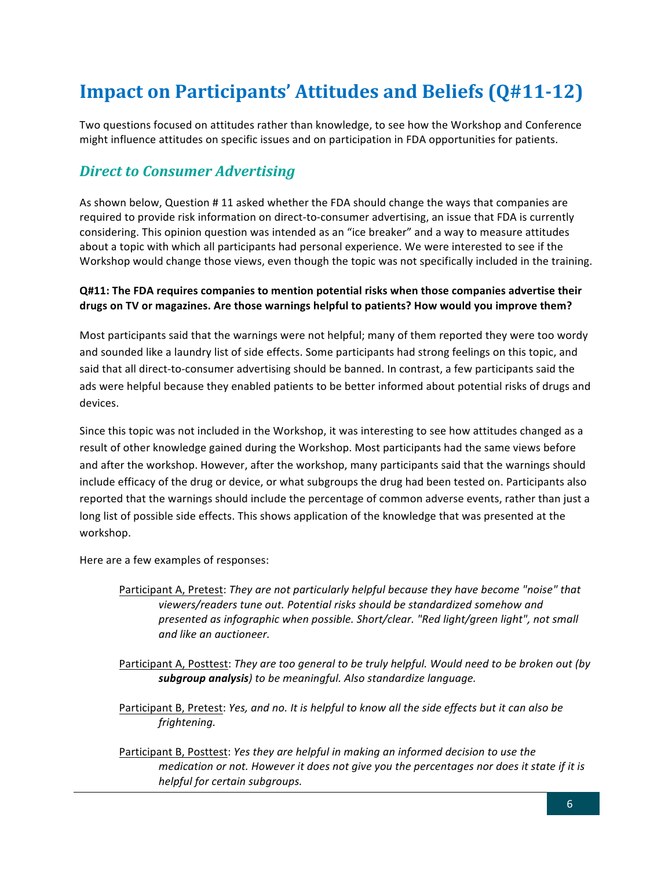### **Impact on Participants' Attitudes and Beliefs (Q#11-12)**

Two questions focused on attitudes rather than knowledge, to see how the Workshop and Conference might influence attitudes on specific issues and on participation in FDA opportunities for patients.

### *Direct to Consumer Advertising*

As shown below, Question #11 asked whether the FDA should change the ways that companies are required to provide risk information on direct-to-consumer advertising, an issue that FDA is currently considering. This opinion question was intended as an "ice breaker" and a way to measure attitudes about a topic with which all participants had personal experience. We were interested to see if the Workshop would change those views, even though the topic was not specifically included in the training.

#### **Q#11:** The FDA requires companies to mention potential risks when those companies advertise their drugs on TV or magazines. Are those warnings helpful to patients? How would you improve them?

Most participants said that the warnings were not helpful; many of them reported they were too wordy and sounded like a laundry list of side effects. Some participants had strong feelings on this topic, and said that all direct-to-consumer advertising should be banned. In contrast, a few participants said the ads were helpful because they enabled patients to be better informed about potential risks of drugs and devices. 

Since this topic was not included in the Workshop, it was interesting to see how attitudes changed as a result of other knowledge gained during the Workshop. Most participants had the same views before and after the workshop. However, after the workshop, many participants said that the warnings should include efficacy of the drug or device, or what subgroups the drug had been tested on. Participants also reported that the warnings should include the percentage of common adverse events, rather than just a long list of possible side effects. This shows application of the knowledge that was presented at the workshop.

Here are a few examples of responses:

- Participant A, Pretest: They are not particularly helpful because they have become "noise" that viewers/readers tune out. Potential risks should be standardized somehow and presented as infographic when possible. Short/clear. "Red light/green light", not small *and like an auctioneer.*
- Participant A, Posttest: They are too general to be truly helpful. Would need to be broken out (by subgroup analysis) to be meaningful. Also standardize language.
- Participant B, Pretest: *Yes, and no. It is helpful to know all the side effects but it can also be frightening.*
- Participant B, Posttest: *Yes they are helpful in making an informed decision to use the medication or not. However it does not give you the percentages nor does it state if it is helpful for certain subgroups.*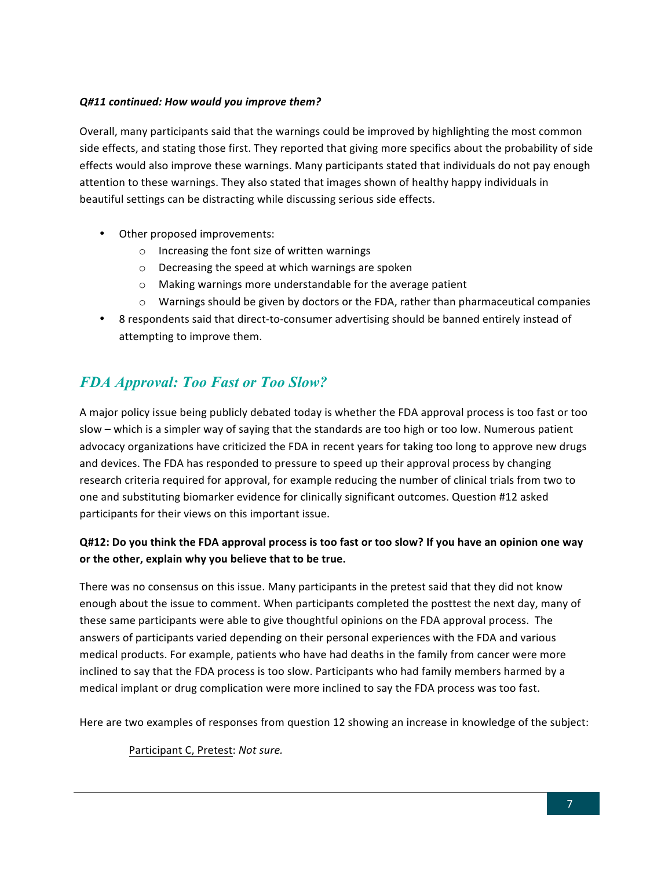#### *Q#11 continued: How would you improve them?*

Overall, many participants said that the warnings could be improved by highlighting the most common side effects, and stating those first. They reported that giving more specifics about the probability of side effects would also improve these warnings. Many participants stated that individuals do not pay enough attention to these warnings. They also stated that images shown of healthy happy individuals in beautiful settings can be distracting while discussing serious side effects.

- Other proposed improvements:
	- $\circ$  Increasing the font size of written warnings
	- $\circ$  Decreasing the speed at which warnings are spoken
	- $\circ$  Making warnings more understandable for the average patient
	- $\circ$  Warnings should be given by doctors or the FDA, rather than pharmaceutical companies
- 8 respondents said that direct-to-consumer advertising should be banned entirely instead of attempting to improve them.

### *FDA Approval: Too Fast or Too Slow?*

A major policy issue being publicly debated today is whether the FDA approval process is too fast or too slow – which is a simpler way of saying that the standards are too high or too low. Numerous patient advocacy organizations have criticized the FDA in recent years for taking too long to approve new drugs and devices. The FDA has responded to pressure to speed up their approval process by changing research criteria required for approval, for example reducing the number of clinical trials from two to one and substituting biomarker evidence for clinically significant outcomes. Question #12 asked participants for their views on this important issue.

#### **Q#12:** Do you think the FDA approval process is too fast or too slow? If you have an opinion one way or the other, explain why you believe that to be true.

There was no consensus on this issue. Many participants in the pretest said that they did not know enough about the issue to comment. When participants completed the posttest the next day, many of these same participants were able to give thoughtful opinions on the FDA approval process. The answers of participants varied depending on their personal experiences with the FDA and various medical products. For example, patients who have had deaths in the family from cancer were more inclined to say that the FDA process is too slow. Participants who had family members harmed by a medical implant or drug complication were more inclined to say the FDA process was too fast.

Here are two examples of responses from question 12 showing an increase in knowledge of the subject:

Participant C, Pretest: Not sure.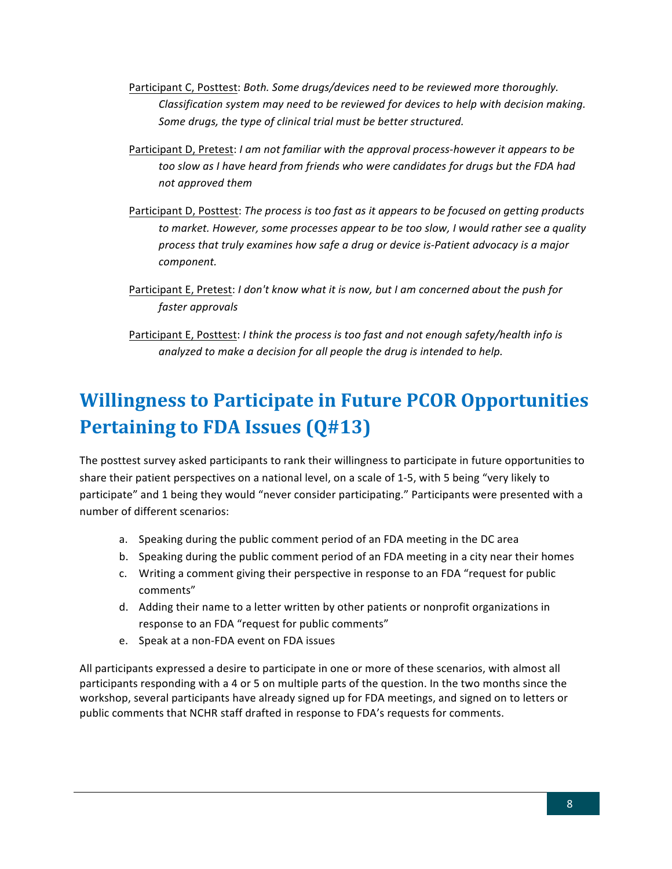- Participant C, Posttest: *Both. Some drugs/devices need to be reviewed more thoroughly. Classification system may need to be reviewed for devices to help with decision making.* Some drugs, the type of clinical trial must be better structured.
- Participant D, Pretest: *I am not familiar with the approval process-however it appears to be* too slow as I have heard from friends who were candidates for drugs but the FDA had *not approved them*
- Participant D, Posttest: The process is too fast as it appears to be focused on getting products to market. However, some processes appear to be too slow, I would rather see a quality *process* that truly examines how safe a drug or device is-Patient advocacy is a major *component.*
- Participant E, Pretest: *I don't know what it is now, but I am concerned about the push for faster approvals*
- Participant E, Posttest: *I think the process is too fast and not enough safety/health info is* analyzed to make a decision for all people the drug is intended to help.

### **Willingness to Participate in Future PCOR Opportunities Pertaining to FDA Issues (0#13)**

The posttest survey asked participants to rank their willingness to participate in future opportunities to share their patient perspectives on a national level, on a scale of 1-5, with 5 being "very likely to participate" and 1 being they would "never consider participating." Participants were presented with a number of different scenarios:

- a. Speaking during the public comment period of an FDA meeting in the DC area
- b. Speaking during the public comment period of an FDA meeting in a city near their homes
- c. Writing a comment giving their perspective in response to an FDA "request for public comments"
- d. Adding their name to a letter written by other patients or nonprofit organizations in response to an FDA "request for public comments"
- e. Speak at a non-FDA event on FDA issues

All participants expressed a desire to participate in one or more of these scenarios, with almost all participants responding with a 4 or 5 on multiple parts of the question. In the two months since the workshop, several participants have already signed up for FDA meetings, and signed on to letters or public comments that NCHR staff drafted in response to FDA's requests for comments.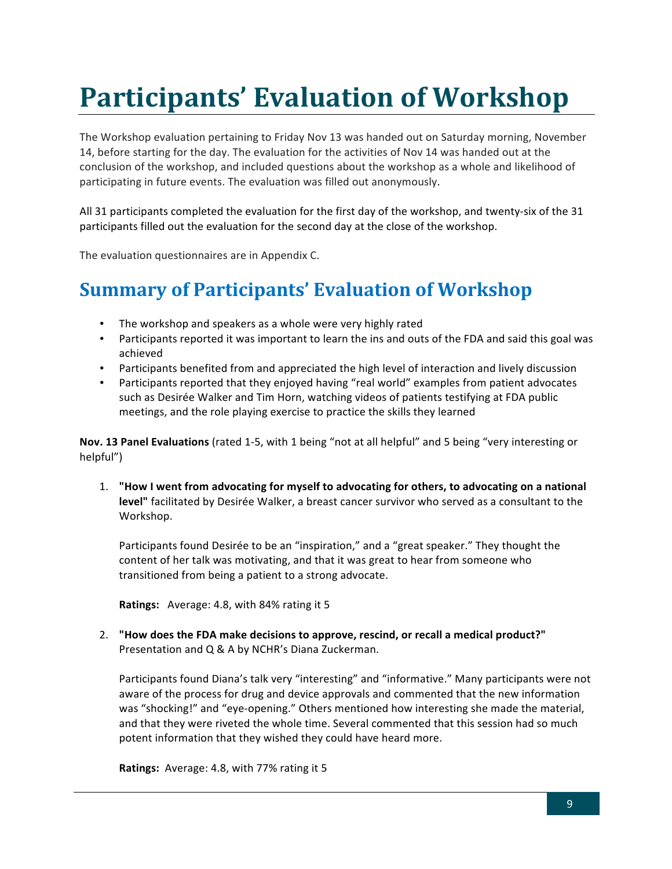# **Participants' Evaluation of Workshop**

The Workshop evaluation pertaining to Friday Nov 13 was handed out on Saturday morning, November 14, before starting for the day. The evaluation for the activities of Nov 14 was handed out at the conclusion of the workshop, and included questions about the workshop as a whole and likelihood of participating in future events. The evaluation was filled out anonymously.

All 31 participants completed the evaluation for the first day of the workshop, and twenty-six of the 31 participants filled out the evaluation for the second day at the close of the workshop.

The evaluation questionnaires are in Appendix C.

### **Summary of Participants' Evaluation of Workshop**

- The workshop and speakers as a whole were very highly rated
- Participants reported it was important to learn the ins and outs of the FDA and said this goal was achieved
- Participants benefited from and appreciated the high level of interaction and lively discussion
- Participants reported that they enjoyed having "real world" examples from patient advocates such as Desirée Walker and Tim Horn, watching videos of patients testifying at FDA public meetings, and the role playing exercise to practice the skills they learned

**Nov. 13 Panel Evaluations** (rated 1-5, with 1 being "not at all helpful" and 5 being "very interesting or helpful")

1. "How I went from advocating for myself to advocating for others, to advocating on a national level" facilitated by Desirée Walker, a breast cancer survivor who served as a consultant to the Workshop.

Participants found Desirée to be an "inspiration," and a "great speaker." They thought the content of her talk was motivating, and that it was great to hear from someone who transitioned from being a patient to a strong advocate.

**Ratings:** Average: 4.8, with 84% rating it 5

2. "How does the FDA make decisions to approve, rescind, or recall a medical product?" Presentation and Q & A by NCHR's Diana Zuckerman.

Participants found Diana's talk very "interesting" and "informative." Many participants were not aware of the process for drug and device approvals and commented that the new information was "shocking!" and "eye-opening." Others mentioned how interesting she made the material, and that they were riveted the whole time. Several commented that this session had so much potent information that they wished they could have heard more.

Ratings: Average: 4.8, with 77% rating it 5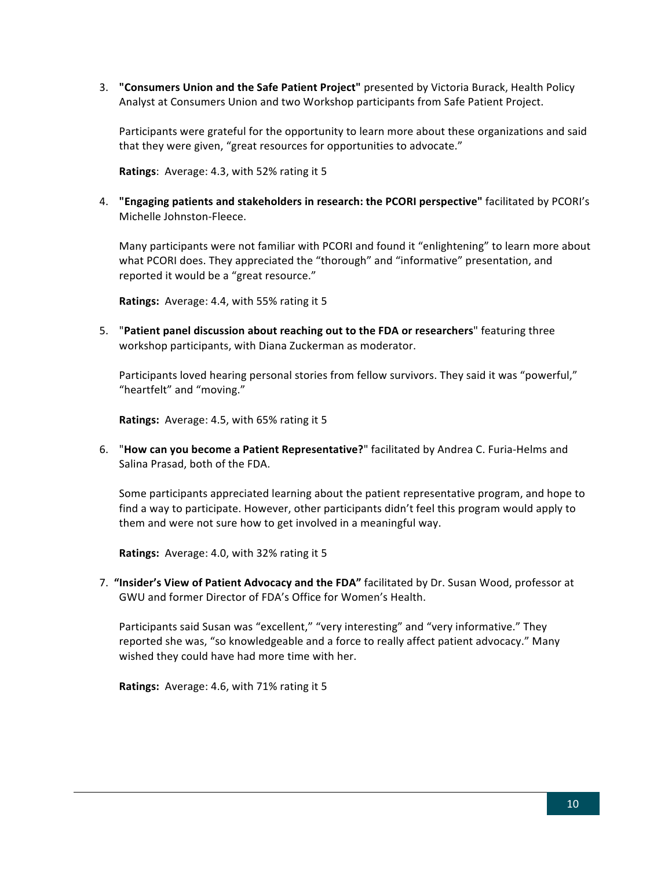3. "Consumers Union and the Safe Patient Project" presented by Victoria Burack, Health Policy Analyst at Consumers Union and two Workshop participants from Safe Patient Project.

Participants were grateful for the opportunity to learn more about these organizations and said that they were given, "great resources for opportunities to advocate."

**Ratings:** Average: 4.3, with 52% rating it 5

4. "Engaging patients and stakeholders in research: the PCORI perspective" facilitated by PCORI's Michelle Johnston-Fleece.

Many participants were not familiar with PCORI and found it "enlightening" to learn more about what PCORI does. They appreciated the "thorough" and "informative" presentation, and reported it would be a "great resource."

Ratings: Average: 4.4, with 55% rating it 5

5. "Patient panel discussion about reaching out to the FDA or researchers" featuring three workshop participants, with Diana Zuckerman as moderator.

Participants loved hearing personal stories from fellow survivors. They said it was "powerful," "heartfelt" and "moving."

**Ratings:** Average: 4.5, with 65% rating it 5

6. "How can you become a Patient Representative?" facilitated by Andrea C. Furia-Helms and Salina Prasad, both of the FDA.

Some participants appreciated learning about the patient representative program, and hope to find a way to participate. However, other participants didn't feel this program would apply to them and were not sure how to get involved in a meaningful way.

**Ratings:** Average: 4.0, with 32% rating it 5

7. "Insider's View of Patient Advocacy and the FDA" facilitated by Dr. Susan Wood, professor at GWU and former Director of FDA's Office for Women's Health.

Participants said Susan was "excellent," "very interesting" and "very informative." They reported she was, "so knowledgeable and a force to really affect patient advocacy." Many wished they could have had more time with her.

Ratings: Average: 4.6, with 71% rating it 5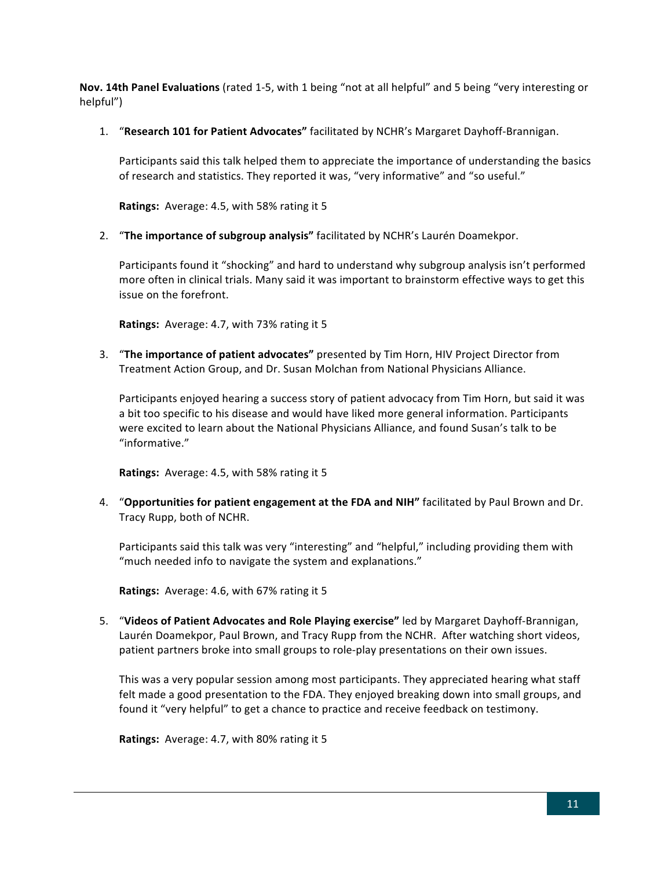**Nov. 14th Panel Evaluations** (rated 1-5, with 1 being "not at all helpful" and 5 being "very interesting or helpful")

1. "Research 101 for Patient Advocates" facilitated by NCHR's Margaret Dayhoff-Brannigan.

Participants said this talk helped them to appreciate the importance of understanding the basics of research and statistics. They reported it was, "very informative" and "so useful."

**Ratings:** Average: 4.5, with 58% rating it 5

2. "The importance of subgroup analysis" facilitated by NCHR's Laurén Doamekpor.

Participants found it "shocking" and hard to understand why subgroup analysis isn't performed more often in clinical trials. Many said it was important to brainstorm effective ways to get this issue on the forefront.

Ratings: Average: 4.7, with 73% rating it 5

3. "The importance of patient advocates" presented by Tim Horn, HIV Project Director from Treatment Action Group, and Dr. Susan Molchan from National Physicians Alliance.

Participants enjoyed hearing a success story of patient advocacy from Tim Horn, but said it was a bit too specific to his disease and would have liked more general information. Participants were excited to learn about the National Physicians Alliance, and found Susan's talk to be "informative."

**Ratings:** Average: 4.5, with 58% rating it 5

4. "Opportunities for patient engagement at the FDA and NIH" facilitated by Paul Brown and Dr. Tracy Rupp, both of NCHR.

Participants said this talk was very "interesting" and "helpful," including providing them with "much needed info to navigate the system and explanations."

Ratings: Average: 4.6, with 67% rating it 5

5. "Videos of Patient Advocates and Role Playing exercise" led by Margaret Dayhoff-Brannigan, Laurén Doamekpor, Paul Brown, and Tracy Rupp from the NCHR. After watching short videos, patient partners broke into small groups to role-play presentations on their own issues.

This was a very popular session among most participants. They appreciated hearing what staff felt made a good presentation to the FDA. They enjoyed breaking down into small groups, and found it "very helpful" to get a chance to practice and receive feedback on testimony.

**Ratings:** Average: 4.7, with 80% rating it 5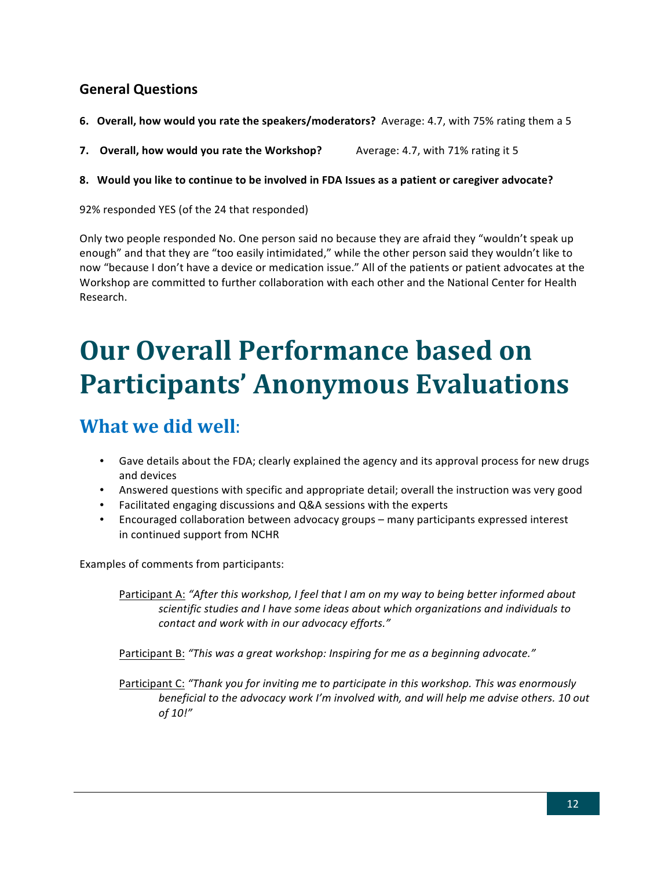### **General Questions**

- **6.** Overall, how would you rate the speakers/moderators? Average: 4.7, with 75% rating them a 5
- **7.** Overall, how would you rate the Workshop? Average: 4.7, with 71% rating it 5
- 8. Would you like to continue to be involved in FDA Issues as a patient or caregiver advocate?

92% responded YES (of the 24 that responded)

Only two people responded No. One person said no because they are afraid they "wouldn't speak up enough" and that they are "too easily intimidated," while the other person said they wouldn't like to now "because I don't have a device or medication issue." All of the patients or patient advocates at the Workshop are committed to further collaboration with each other and the National Center for Health Research.

## **Our Overall Performance based on Participants' Anonymous Evaluations**

### **What we did well:**

- Gave details about the FDA; clearly explained the agency and its approval process for new drugs and devices
- Answered questions with specific and appropriate detail; overall the instruction was very good
- Facilitated engaging discussions and Q&A sessions with the experts
- Encouraged collaboration between advocacy groups many participants expressed interest in continued support from NCHR

Examples of comments from participants:

Participant A: "After this workshop, I feel that I am on my way to being better informed about scientific studies and I have some ideas about which organizations and individuals to *contact and work with in our advocacy efforts."*

Participant B: "This was a great workshop: Inspiring for me as a beginning advocate."

Participant C: "Thank you for inviting me to participate in this workshop. This was enormously *beneficial* to the advocacy work I'm involved with, and will help me advise others. 10 out *of 10!"*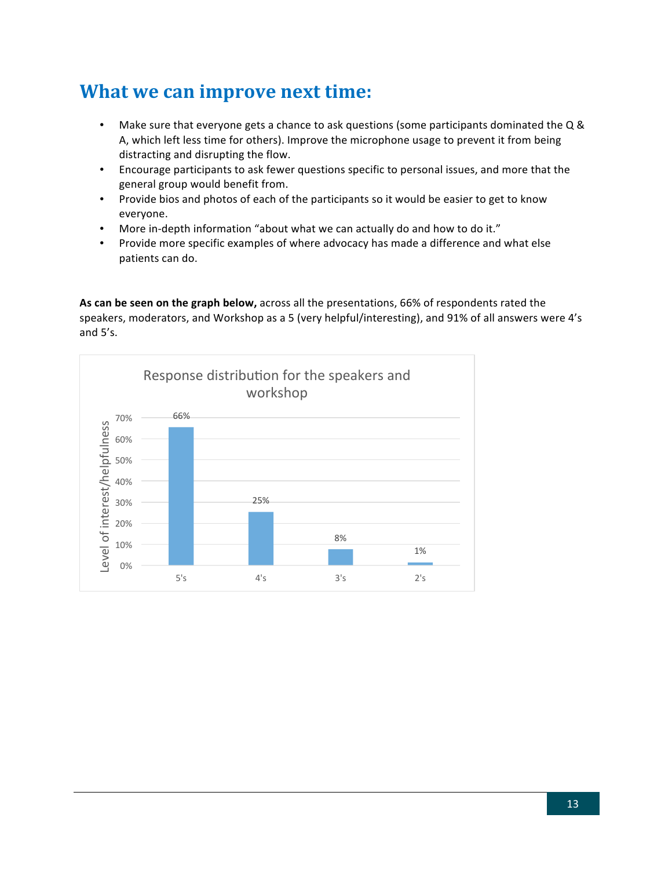### **What we can improve next time:**

- Make sure that everyone gets a chance to ask questions (some participants dominated the Q & A, which left less time for others). Improve the microphone usage to prevent it from being distracting and disrupting the flow.
- Encourage participants to ask fewer questions specific to personal issues, and more that the general group would benefit from.
- Provide bios and photos of each of the participants so it would be easier to get to know everyone.
- More in-depth information "about what we can actually do and how to do it."
- Provide more specific examples of where advocacy has made a difference and what else patients can do.

As can be seen on the graph below, across all the presentations, 66% of respondents rated the speakers, moderators, and Workshop as a 5 (very helpful/interesting), and 91% of all answers were 4's and 5's.

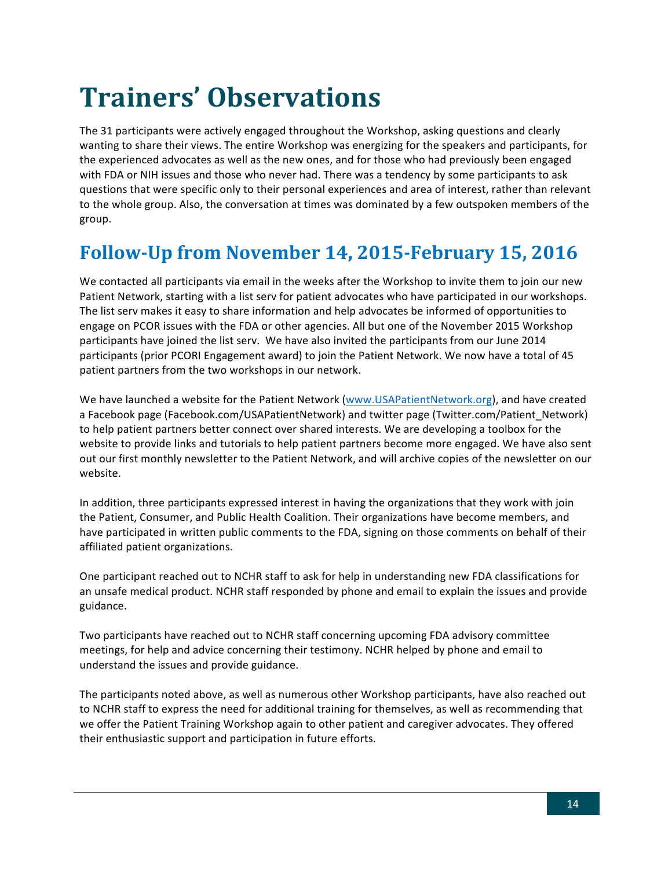## **Trainers' Observations**

The 31 participants were actively engaged throughout the Workshop, asking questions and clearly wanting to share their views. The entire Workshop was energizing for the speakers and participants, for the experienced advocates as well as the new ones, and for those who had previously been engaged with FDA or NIH issues and those who never had. There was a tendency by some participants to ask questions that were specific only to their personal experiences and area of interest, rather than relevant to the whole group. Also, the conversation at times was dominated by a few outspoken members of the group. 

### **Follow-Up from November 14, 2015-February 15, 2016**

We contacted all participants via email in the weeks after the Workshop to invite them to join our new Patient Network, starting with a list serv for patient advocates who have participated in our workshops. The list serv makes it easy to share information and help advocates be informed of opportunities to engage on PCOR issues with the FDA or other agencies. All but one of the November 2015 Workshop participants have joined the list serv. We have also invited the participants from our June 2014 participants (prior PCORI Engagement award) to join the Patient Network. We now have a total of 45 patient partners from the two workshops in our network.

We have launched a website for the Patient Network (www.USAPatientNetwork.org), and have created a Facebook page (Facebook.com/USAPatientNetwork) and twitter page (Twitter.com/Patient Network) to help patient partners better connect over shared interests. We are developing a toolbox for the website to provide links and tutorials to help patient partners become more engaged. We have also sent out our first monthly newsletter to the Patient Network, and will archive copies of the newsletter on our website.

In addition, three participants expressed interest in having the organizations that they work with join the Patient, Consumer, and Public Health Coalition. Their organizations have become members, and have participated in written public comments to the FDA, signing on those comments on behalf of their affiliated patient organizations.

One participant reached out to NCHR staff to ask for help in understanding new FDA classifications for an unsafe medical product. NCHR staff responded by phone and email to explain the issues and provide guidance. 

Two participants have reached out to NCHR staff concerning upcoming FDA advisory committee meetings, for help and advice concerning their testimony. NCHR helped by phone and email to understand the issues and provide guidance.

The participants noted above, as well as numerous other Workshop participants, have also reached out to NCHR staff to express the need for additional training for themselves, as well as recommending that we offer the Patient Training Workshop again to other patient and caregiver advocates. They offered their enthusiastic support and participation in future efforts.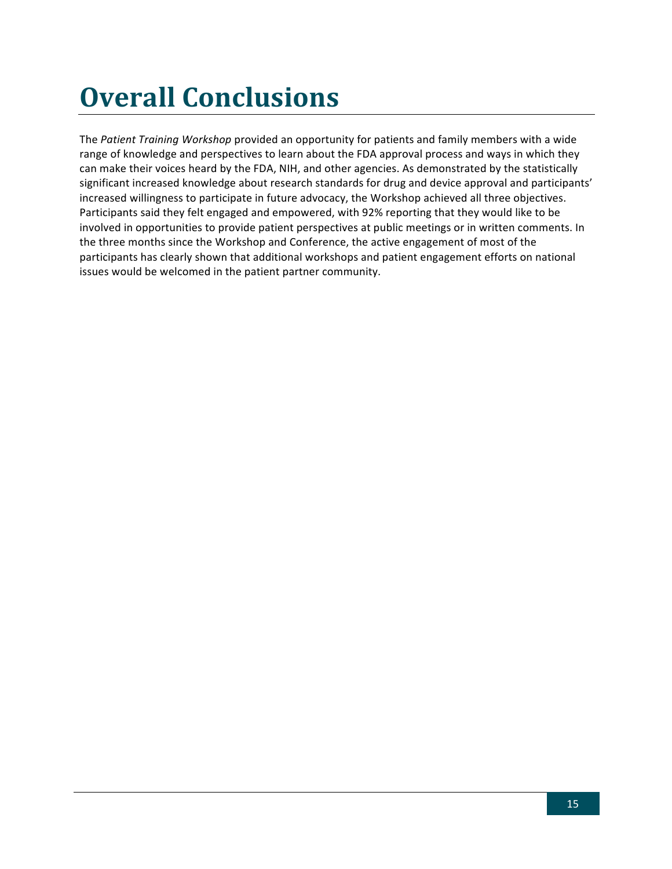# **Overall Conclusions**

The Patient Training Workshop provided an opportunity for patients and family members with a wide range of knowledge and perspectives to learn about the FDA approval process and ways in which they can make their voices heard by the FDA, NIH, and other agencies. As demonstrated by the statistically significant increased knowledge about research standards for drug and device approval and participants' increased willingness to participate in future advocacy, the Workshop achieved all three objectives. Participants said they felt engaged and empowered, with 92% reporting that they would like to be involved in opportunities to provide patient perspectives at public meetings or in written comments. In the three months since the Workshop and Conference, the active engagement of most of the participants has clearly shown that additional workshops and patient engagement efforts on national issues would be welcomed in the patient partner community.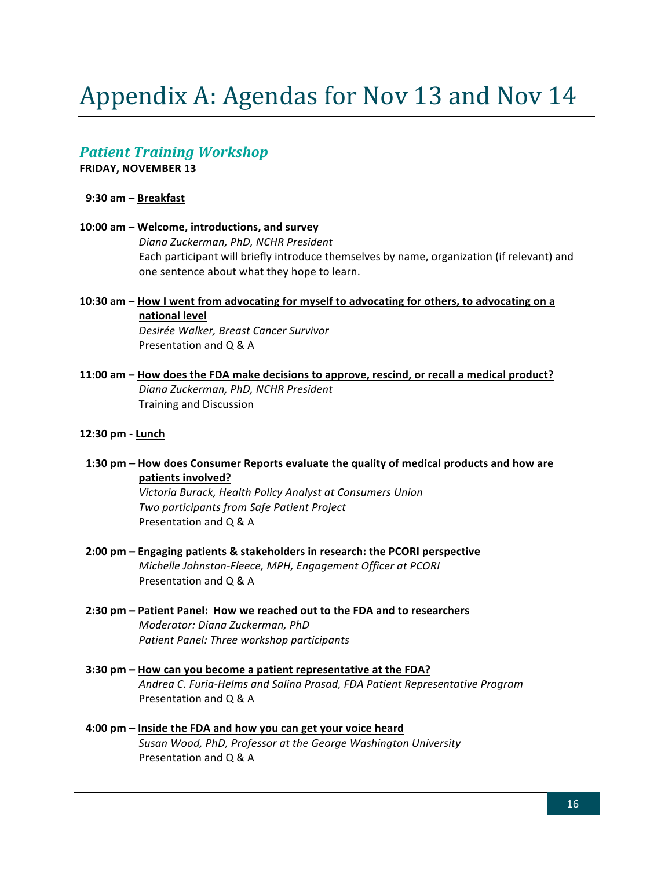## Appendix A: Agendas for Nov 13 and Nov 14

#### *Patient Training Workshop*

**FRIDAY, NOVEMBER 13** 

- **09:30 am – Breakfast**
- **10:00 am – Welcome, introductions, and survey** *Diana Zuckerman, PhD, NCHR President* Each participant will briefly introduce themselves by name, organization (if relevant) and one sentence about what they hope to learn.
- **10:30** am How I went from advocating for myself to advocating for others, to advocating on a **national level** *Desirée Walker, Breast Cancer Survivor* Presentation and Q & A
- **11:00** am How does the FDA make decisions to approve, rescind, or recall a medical product? *Diana Zuckerman, PhD, NCHR President* Training and Discussion
- **12:30 pm - Lunch**
- 1:30 pm How does Consumer Reports evaluate the quality of medical products and how are patients involved?

*Victoria Burack, Health Policy Analyst at Consumers Union Two participants from Safe Patient Project* Presentation and  $O & A$ 

- **02:00 pm – Engaging patients & stakeholders in research: the PCORI perspective** *Michelle Johnston-Fleece, MPH, Engagement Officer at PCORI* Presentation and Q & A
- 2:30 pm Patient Panel: How we reached out to the FDA and to researchers *Moderator: Diana Zuckerman, PhD Patient Panel: Three workshop participants*
- **3:30** pm How can you become a patient representative at the FDA? *Andrea C. Furia-Helms and Salina Prasad, FDA Patient Representative Program* Presentation and Q & A
- **4:00** pm **Inside the FDA and how you can get your voice heard** Susan Wood, PhD, Professor at the George Washington University Presentation and Q & A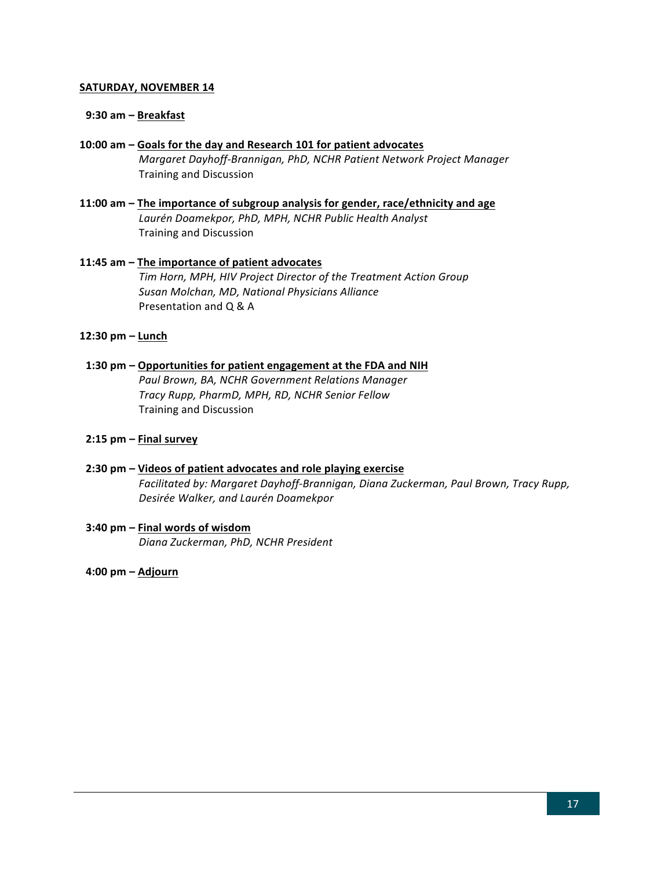#### **SATURDAY, NOVEMBER 14**

#### **09:30 am – Breakfast**

- 10:00 am Goals for the day and Research 101 for patient advocates *Margaret Dayhoff-Brannigan, PhD, NCHR Patient Network Project Manager* Training and Discussion
- **11:00** am The importance of subgroup analysis for gender, race/ethnicity and age *Laurén Doamekpor, PhD, MPH, NCHR Public Health Analyst* Training and Discussion
- 11:45 am The importance of patient advocates **Tim Horn, MPH, HIV Project Director of the Treatment Action Group** *Susan Molchan, MD, National Physicians Alliance* Presentation and Q & A
- **12:30 pm – Lunch**
- 1:30 pm Opportunities for patient engagement at the FDA and NIH Paul Brown, BA, NCHR Government Relations Manager *Tracy Rupp, PharmD, MPH, RD, NCHR Senior Fellow* Training and Discussion
- **02:15 pm – Final survey**
- **02:30 pm – Videos of patient advocates and role playing exercise** Facilitated by: Margaret Dayhoff-Brannigan, Diana Zuckerman, Paul Brown, Tracy Rupp, *Desirée Walker, and Laurén Doamekpor*
- **3:40 pm Final words of wisdom** *Diana Zuckerman, PhD, NCHR President*
- **04:00 pm – Adjourn**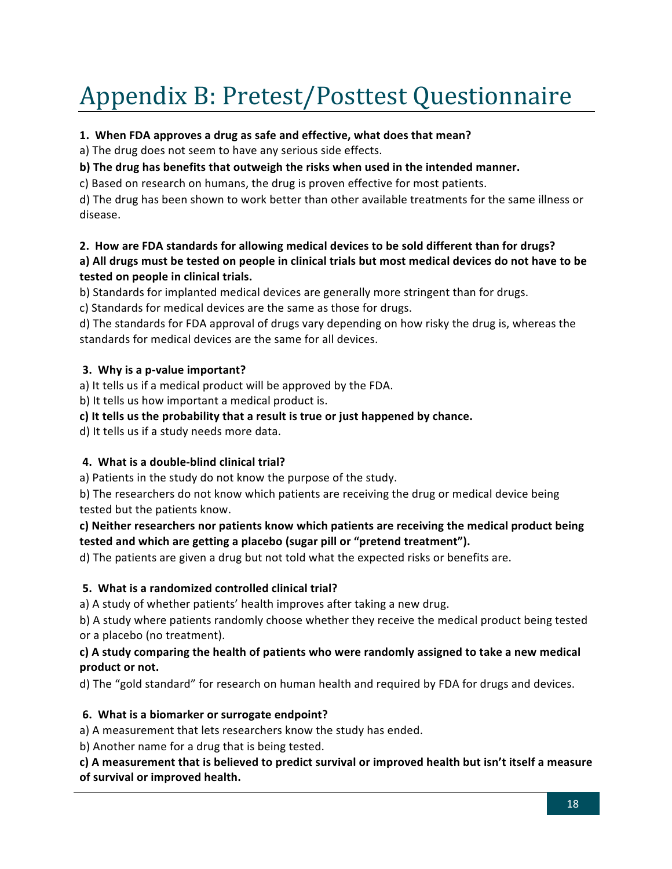## Appendix B: Pretest/Posttest Questionnaire

#### **1. When FDA approves a drug as safe and effective, what does that mean?**

a) The drug does not seem to have any serious side effects.

#### **b)** The drug has benefits that outweigh the risks when used in the intended manner.

c) Based on research on humans, the drug is proven effective for most patients.

d) The drug has been shown to work better than other available treatments for the same illness or disease. 

#### **2.** How are FDA standards for allowing medical devices to be sold different than for drugs? a) All drugs must be tested on people in clinical trials but most medical devices do not have to be tested on people in clinical trials.

b) Standards for implanted medical devices are generally more stringent than for drugs.

c) Standards for medical devices are the same as those for drugs.

d) The standards for FDA approval of drugs vary depending on how risky the drug is, whereas the standards for medical devices are the same for all devices.

#### **3.** Why is a p-value important?

a) It tells us if a medical product will be approved by the FDA.

b) It tells us how important a medical product is.

#### c) It tells us the probability that a result is true or just happened by chance.

d) It tells us if a study needs more data.

#### **4. What is a double-blind clinical trial?**

a) Patients in the study do not know the purpose of the study.

b) The researchers do not know which patients are receiving the drug or medical device being tested but the patients know.

#### c) Neither researchers nor patients know which patients are receiving the medical product being tested and which are getting a placebo (sugar pill or "pretend treatment").

d) The patients are given a drug but not told what the expected risks or benefits are.

#### **5.** What is a randomized controlled clinical trial?

a) A study of whether patients' health improves after taking a new drug.

b) A study where patients randomly choose whether they receive the medical product being tested or a placebo (no treatment).

#### c) A study comparing the health of patients who were randomly assigned to take a new medical product or not.

d) The "gold standard" for research on human health and required by FDA for drugs and devices.

#### **6.** What is a biomarker or surrogate endpoint?

a) A measurement that lets researchers know the study has ended.

b) Another name for a drug that is being tested.

c) A measurement that is believed to predict survival or improved health but isn't itself a measure of survival or improved health.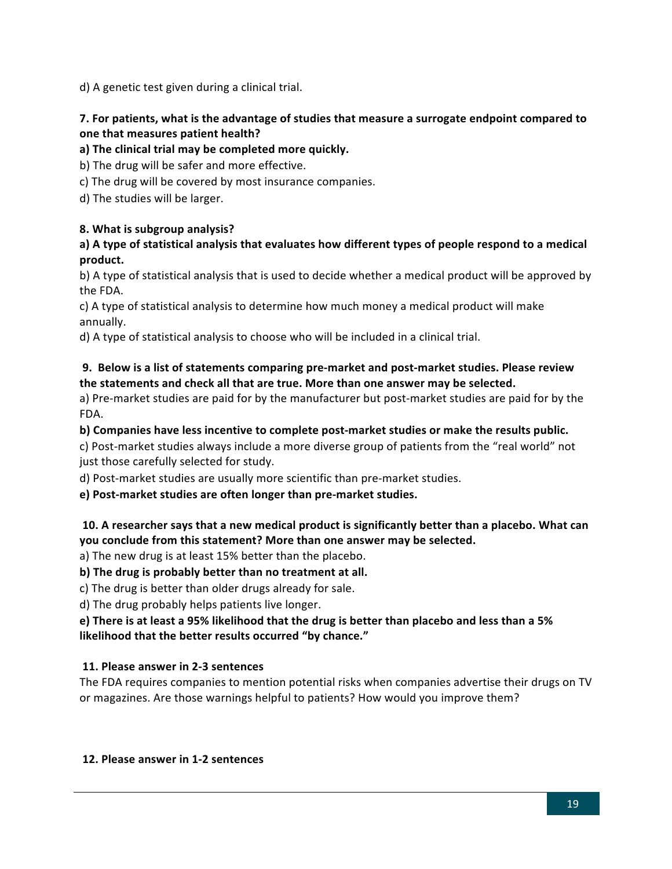d) A genetic test given during a clinical trial.

#### **7.** For patients, what is the advantage of studies that measure a surrogate endpoint compared to **one that measures patient health?**

#### a) The clinical trial may be completed more quickly.

b) The drug will be safer and more effective.

c) The drug will be covered by most insurance companies.

d) The studies will be larger.

#### **8. What is subgroup analysis?**

#### a) A type of statistical analysis that evaluates how different types of people respond to a medical **product.**

b) A type of statistical analysis that is used to decide whether a medical product will be approved by the FDA.

c) A type of statistical analysis to determine how much money a medical product will make annually.

d) A type of statistical analysis to choose who will be included in a clinical trial.

#### **9.** Below is a list of statements comparing pre-market and post-market studies. Please review the statements and check all that are true. More than one answer may be selected.

a) Pre-market studies are paid for by the manufacturer but post-market studies are paid for by the FDA. 

#### **b)** Companies have less incentive to complete post-market studies or make the results public.

c) Post-market studies always include a more diverse group of patients from the "real world" not just those carefully selected for study.

d) Post-market studies are usually more scientific than pre-market studies.

**e)** Post-market studies are often longer than pre-market studies.

#### **10.** A researcher says that a new medical product is significantly better than a placebo. What can **you conclude from this statement? More than one answer may be selected.**

a) The new drug is at least 15% better than the placebo.

#### b) The drug is probably better than no treatment at all.

c) The drug is better than older drugs already for sale.

d) The drug probably helps patients live longer.

**e)** There is at least a 95% likelihood that the drug is better than placebo and less than a 5% **likelihood that the better results occurred "by chance."** 

#### **11. Please answer in 2-3 sentences**

The FDA requires companies to mention potential risks when companies advertise their drugs on TV or magazines. Are those warnings helpful to patients? How would you improve them?

#### 12. Please answer in 1-2 sentences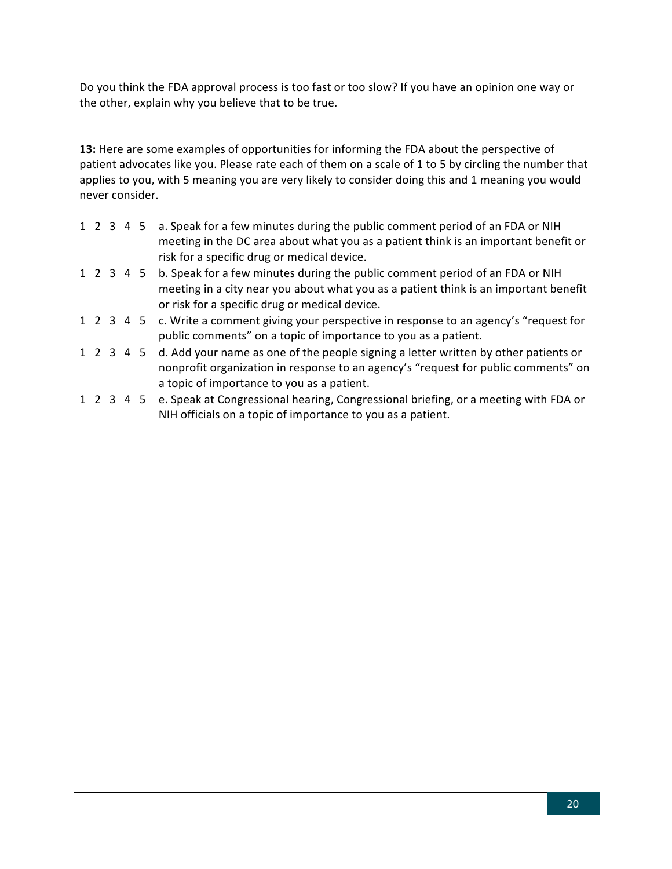Do you think the FDA approval process is too fast or too slow? If you have an opinion one way or the other, explain why you believe that to be true.

**13:** Here are some examples of opportunities for informing the FDA about the perspective of patient advocates like you. Please rate each of them on a scale of 1 to 5 by circling the number that applies to you, with 5 meaning you are very likely to consider doing this and 1 meaning you would never consider.

- 1 2 3 4 5 a. Speak for a few minutes during the public comment period of an FDA or NIH meeting in the DC area about what you as a patient think is an important benefit or risk for a specific drug or medical device.
- 1 2 3 4 5 b. Speak for a few minutes during the public comment period of an FDA or NIH meeting in a city near you about what you as a patient think is an important benefit or risk for a specific drug or medical device.
- 1 2 3 4 5 c. Write a comment giving your perspective in response to an agency's "request for public comments" on a topic of importance to you as a patient.
- 1 2 3 4 5 d. Add your name as one of the people signing a letter written by other patients or nonprofit organization in response to an agency's "request for public comments" on a topic of importance to you as a patient.
- 1 2 3 4 5 e. Speak at Congressional hearing, Congressional briefing, or a meeting with FDA or NIH officials on a topic of importance to you as a patient.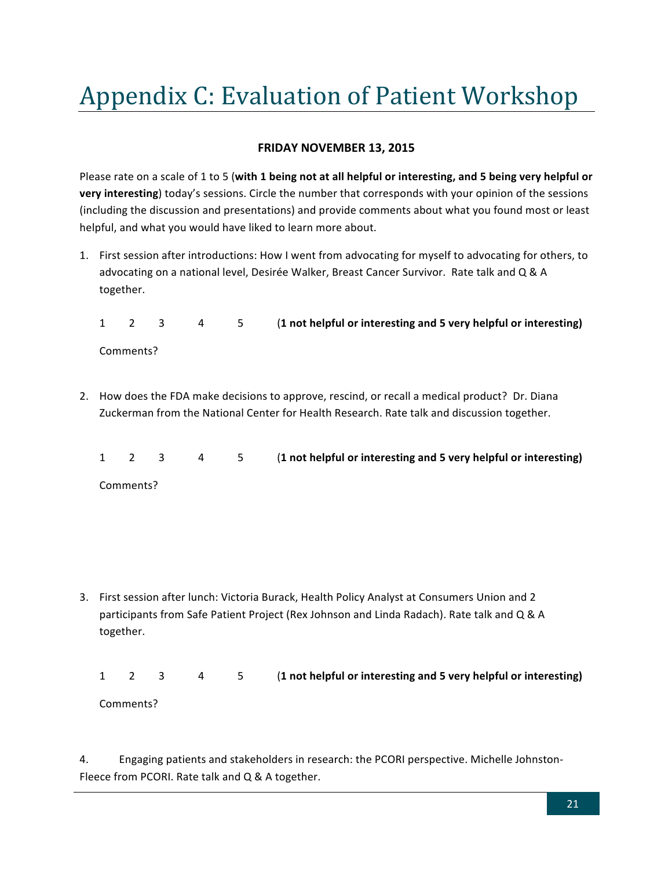## Appendix C: Evaluation of Patient Workshop

#### **FRIDAY NOVEMBER 13, 2015**

Please rate on a scale of 1 to 5 (with 1 being not at all helpful or interesting, and 5 being very helpful or **very interesting**) today's sessions. Circle the number that corresponds with your opinion of the sessions (including the discussion and presentations) and provide comments about what you found most or least helpful, and what you would have liked to learn more about.

1. First session after introductions: How I went from advocating for myself to advocating for others, to advocating on a national level, Desirée Walker, Breast Cancer Survivor. Rate talk and Q & A together.

1 2 3 4 5 (**1** not helpful or interesting and 5 very helpful or interesting) Comments?

2. How does the FDA make decisions to approve, rescind, or recall a medical product? Dr. Diana Zuckerman from the National Center for Health Research. Rate talk and discussion together.

|           |  | 1 2 3 4 5 (1 not helpful or interesting and 5 very helpful or interesting) |
|-----------|--|----------------------------------------------------------------------------|
| Comments? |  |                                                                            |

3. First session after lunch: Victoria Burack, Health Policy Analyst at Consumers Union and 2 participants from Safe Patient Project (Rex Johnson and Linda Radach). Rate talk and Q & A together.

1 2 3 4 5 (**1** not helpful or interesting and 5 very helpful or interesting) Comments?

4. Engaging patients and stakeholders in research: the PCORI perspective. Michelle Johnston-Fleece from PCORI. Rate talk and Q & A together.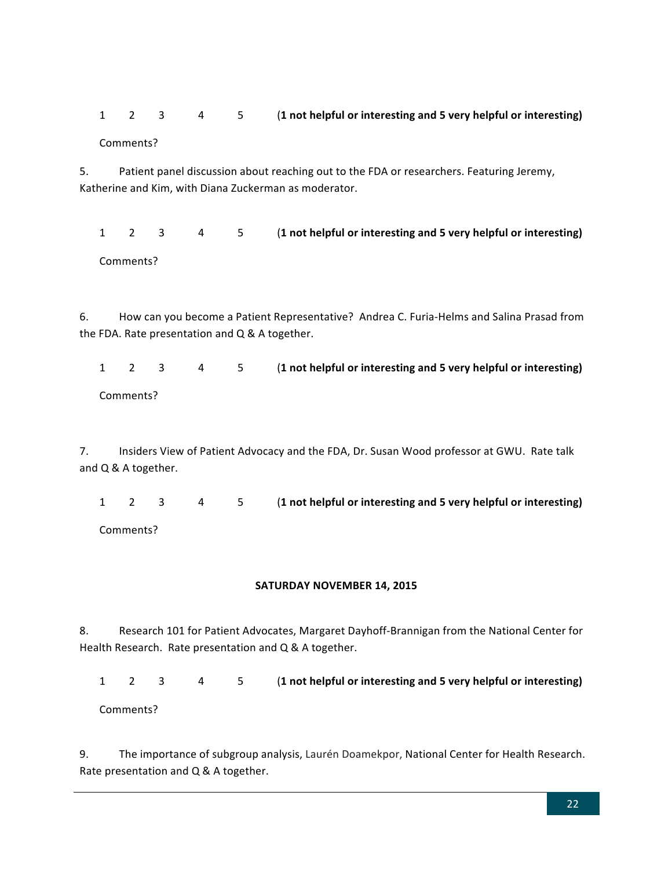1 2 3 4 5 (**1** not helpful or interesting and 5 very helpful or interesting) Comments?

5. Patient panel discussion about reaching out to the FDA or researchers. Featuring Jeremy, Katherine and Kim, with Diana Zuckerman as moderator.

1 2 3 4 5 (**1** not helpful or interesting and 5 very helpful or interesting) Comments?

6. How can you become a Patient Representative? Andrea C. Furia-Helms and Salina Prasad from the FDA. Rate presentation and  $Q & A$  together.

1 2 3 4 5 (**1** not helpful or interesting and 5 very helpful or interesting) Comments?

7. Insiders View of Patient Advocacy and the FDA, Dr. Susan Wood professor at GWU. Rate talk and Q & A together.

1 2 3 4 5 (1 not helpful or interesting and 5 very helpful or interesting) Comments?

#### SATURDAY NOVEMBER 14, 2015

8. Research 101 for Patient Advocates, Margaret Dayhoff-Brannigan from the National Center for Health Research. Rate presentation and  $Q & A$  together.

1 2 3 4 5 (**1** not helpful or interesting and 5 very helpful or interesting) Comments?

9. The importance of subgroup analysis, Laurén Doamekpor, National Center for Health Research. Rate presentation and  $Q$  & A together.